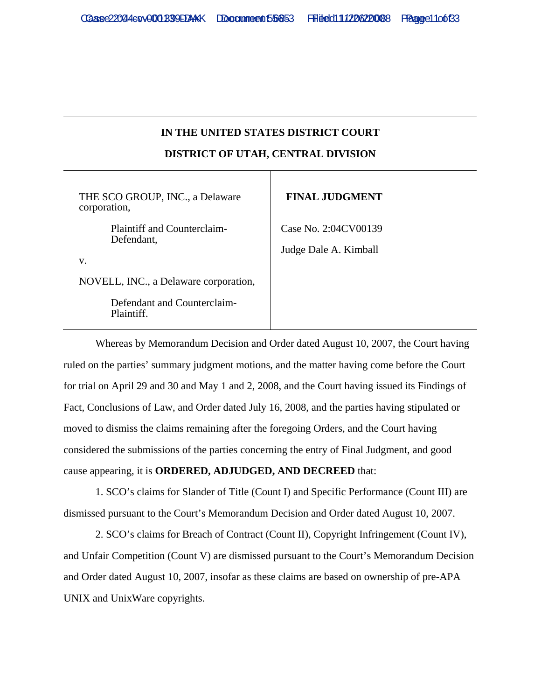## **IN THE UNITED STATES DISTRICT COURT DISTRICT OF UTAH, CENTRAL DIVISION**

| THE SCO GROUP, INC., a Delaware<br>corporation,                                   | <b>FINAL JUDGMENT</b>                         |
|-----------------------------------------------------------------------------------|-----------------------------------------------|
| Plaintiff and Counterclaim-<br>Defendant,<br>V.                                   | Case No. 2:04CV00139<br>Judge Dale A. Kimball |
| NOVELL, INC., a Delaware corporation,<br>Defendant and Counterclaim-<br>Plaintiff |                                               |

Whereas by Memorandum Decision and Order dated August 10, 2007, the Court having ruled on the parties' summary judgment motions, and the matter having come before the Court for trial on April 29 and 30 and May 1 and 2, 2008, and the Court having issued its Findings of Fact, Conclusions of Law, and Order dated July 16, 2008, and the parties having stipulated or moved to dismiss the claims remaining after the foregoing Orders, and the Court having considered the submissions of the parties concerning the entry of Final Judgment, and good cause appearing, it is **ORDERED, ADJUDGED, AND DECREED** that:

1. SCO's claims for Slander of Title (Count I) and Specific Performance (Count III) are dismissed pursuant to the Court's Memorandum Decision and Order dated August 10, 2007.

2. SCO's claims for Breach of Contract (Count II), Copyright Infringement (Count IV), and Unfair Competition (Count V) are dismissed pursuant to the Court's Memorandum Decision and Order dated August 10, 2007, insofar as these claims are based on ownership of pre-APA UNIX and UnixWare copyrights.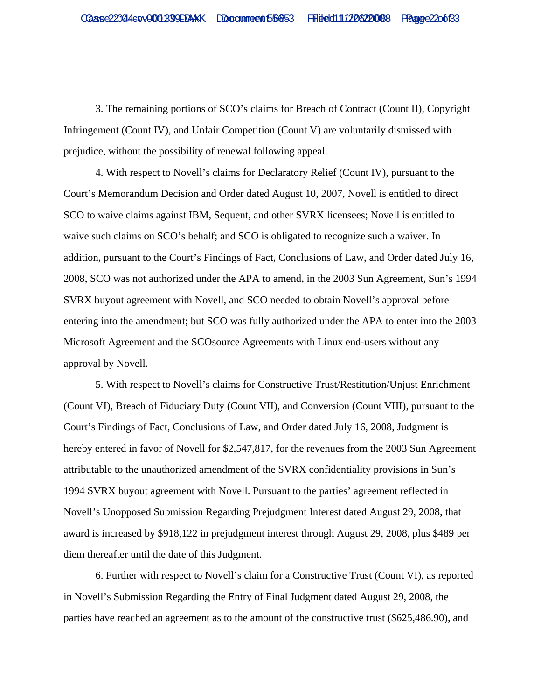3. The remaining portions of SCO's claims for Breach of Contract (Count II), Copyright Infringement (Count IV), and Unfair Competition (Count V) are voluntarily dismissed with prejudice, without the possibility of renewal following appeal.

4. With respect to Novell's claims for Declaratory Relief (Count IV), pursuant to the Court's Memorandum Decision and Order dated August 10, 2007, Novell is entitled to direct SCO to waive claims against IBM, Sequent, and other SVRX licensees; Novell is entitled to waive such claims on SCO's behalf; and SCO is obligated to recognize such a waiver. In addition, pursuant to the Court's Findings of Fact, Conclusions of Law, and Order dated July 16, 2008, SCO was not authorized under the APA to amend, in the 2003 Sun Agreement, Sun's 1994 SVRX buyout agreement with Novell, and SCO needed to obtain Novell's approval before entering into the amendment; but SCO was fully authorized under the APA to enter into the 2003 Microsoft Agreement and the SCOsource Agreements with Linux end-users without any approval by Novell.

5. With respect to Novell's claims for Constructive Trust/Restitution/Unjust Enrichment (Count VI), Breach of Fiduciary Duty (Count VII), and Conversion (Count VIII), pursuant to the Court's Findings of Fact, Conclusions of Law, and Order dated July 16, 2008, Judgment is hereby entered in favor of Novell for \$2,547,817, for the revenues from the 2003 Sun Agreement attributable to the unauthorized amendment of the SVRX confidentiality provisions in Sun's 1994 SVRX buyout agreement with Novell. Pursuant to the parties' agreement reflected in Novell's Unopposed Submission Regarding Prejudgment Interest dated August 29, 2008, that award is increased by \$918,122 in prejudgment interest through August 29, 2008, plus \$489 per diem thereafter until the date of this Judgment.

6. Further with respect to Novell's claim for a Constructive Trust (Count VI), as reported in Novell's Submission Regarding the Entry of Final Judgment dated August 29, 2008, the parties have reached an agreement as to the amount of the constructive trust (\$625,486.90), and